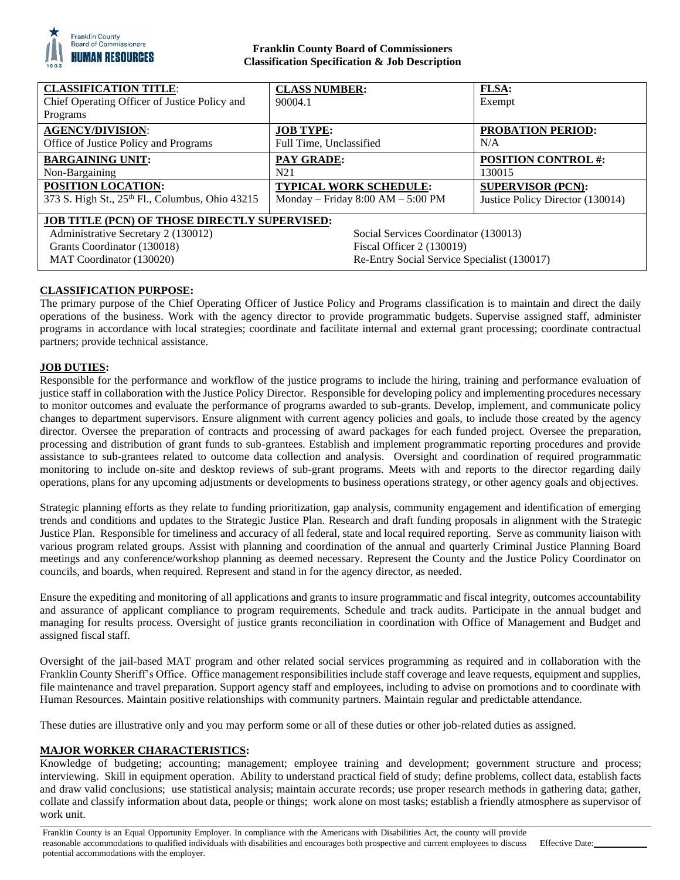

# **Franklin County Board of Commissioners Classification Specification & Job Description**

| <b>CLASSIFICATION TITLE:</b><br>Chief Operating Officer of Justice Policy and<br>Programs                                                                                                                                                                                  | <b>CLASS NUMBER:</b><br>90004.1     | <b>FLSA:</b><br>Exempt           |
|----------------------------------------------------------------------------------------------------------------------------------------------------------------------------------------------------------------------------------------------------------------------------|-------------------------------------|----------------------------------|
| <b>AGENCY/DIVISION:</b>                                                                                                                                                                                                                                                    | <b>JOB TYPE:</b>                    | <b>PROBATION PERIOD:</b>         |
| Office of Justice Policy and Programs                                                                                                                                                                                                                                      | Full Time, Unclassified             | N/A                              |
| <b>BARGAINING UNIT:</b>                                                                                                                                                                                                                                                    | <b>PAY GRADE:</b>                   | <b>POSITION CONTROL #:</b>       |
| Non-Bargaining                                                                                                                                                                                                                                                             | N21                                 | 130015                           |
| POSITION LOCATION:                                                                                                                                                                                                                                                         | <b>TYPICAL WORK SCHEDULE:</b>       | <b>SUPERVISOR (PCN):</b>         |
| 373 S. High St., 25 <sup>th</sup> Fl., Columbus, Ohio 43215                                                                                                                                                                                                                | Monday – Friday $8:00 AM - 5:00 PM$ | Justice Policy Director (130014) |
| <b>JOB TITLE (PCN) OF THOSE DIRECTLY SUPERVISED:</b><br>Administrative Secretary 2 (130012)<br>Social Services Coordinator (130013)<br>Grants Coordinator (130018)<br>Fiscal Officer 2 (130019)<br>Re-Entry Social Service Specialist (130017)<br>MAT Coordinator (130020) |                                     |                                  |

# **CLASSIFICATION PURPOSE:**

The primary purpose of the Chief Operating Officer of Justice Policy and Programs classification is to maintain and direct the daily operations of the business. Work with the agency director to provide programmatic budgets. Supervise assigned staff, administer programs in accordance with local strategies; coordinate and facilitate internal and external grant processing; coordinate contractual partners; provide technical assistance.

# **JOB DUTIES:**

Responsible for the performance and workflow of the justice programs to include the hiring, training and performance evaluation of justice staff in collaboration with the Justice Policy Director. Responsible for developing policy and implementing procedures necessary to monitor outcomes and evaluate the performance of programs awarded to sub-grants. Develop, implement, and communicate policy changes to department supervisors. Ensure alignment with current agency policies and goals, to include those created by the agency director. Oversee the preparation of contracts and processing of award packages for each funded project. Oversee the preparation, processing and distribution of grant funds to sub-grantees. Establish and implement programmatic reporting procedures and provide assistance to sub-grantees related to outcome data collection and analysis. Oversight and coordination of required programmatic monitoring to include on-site and desktop reviews of sub-grant programs. Meets with and reports to the director regarding daily operations, plans for any upcoming adjustments or developments to business operations strategy, or other agency goals and objectives.

Strategic planning efforts as they relate to funding prioritization, gap analysis, community engagement and identification of emerging trends and conditions and updates to the Strategic Justice Plan. Research and draft funding proposals in alignment with the Strategic Justice Plan. Responsible for timeliness and accuracy of all federal, state and local required reporting. Serve as community liaison with various program related groups. Assist with planning and coordination of the annual and quarterly Criminal Justice Planning Board meetings and any conference/workshop planning as deemed necessary. Represent the County and the Justice Policy Coordinator on councils, and boards, when required. Represent and stand in for the agency director, as needed.

Ensure the expediting and monitoring of all applications and grants to insure programmatic and fiscal integrity, outcomes accountability and assurance of applicant compliance to program requirements. Schedule and track audits. Participate in the annual budget and managing for results process. Oversight of justice grants reconciliation in coordination with Office of Management and Budget and assigned fiscal staff.

Oversight of the jail-based MAT program and other related social services programming as required and in collaboration with the Franklin County Sheriff's Office. Office management responsibilities include staff coverage and leave requests, equipment and supplies, file maintenance and travel preparation. Support agency staff and employees, including to advise on promotions and to coordinate with Human Resources. Maintain positive relationships with community partners. Maintain regular and predictable attendance.

These duties are illustrative only and you may perform some or all of these duties or other job-related duties as assigned.

# **MAJOR WORKER CHARACTERISTICS:**

Knowledge of budgeting; accounting; management; employee training and development; government structure and process; interviewing. Skill in equipment operation. Ability to understand practical field of study; define problems, collect data, establish facts and draw valid conclusions; use statistical analysis; maintain accurate records; use proper research methods in gathering data; gather, collate and classify information about data, people or things; work alone on most tasks; establish a friendly atmosphere as supervisor of work unit.